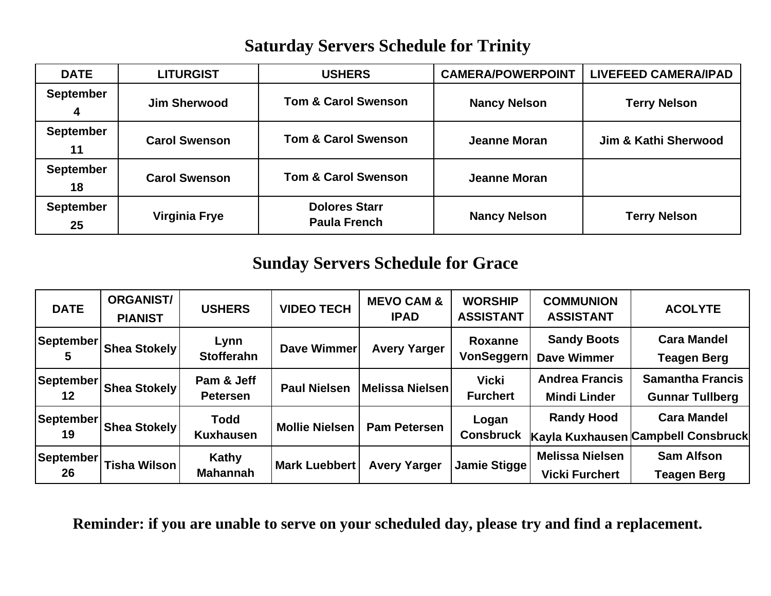## **Saturday Servers Schedule for Trinity**

| <b>DATE</b>            | <b>LITURGIST</b>     | <b>USHERS</b>                               | <b>CAMERA/POWERPOINT</b> | <b>LIVEFEED CAMERA/IPAD</b>     |
|------------------------|----------------------|---------------------------------------------|--------------------------|---------------------------------|
| <b>September</b><br>4  | <b>Jim Sherwood</b>  | <b>Tom &amp; Carol Swenson</b>              | <b>Nancy Nelson</b>      | <b>Terry Nelson</b>             |
| <b>September</b><br>11 | <b>Carol Swenson</b> | <b>Tom &amp; Carol Swenson</b>              | Jeanne Moran             | <b>Jim &amp; Kathi Sherwood</b> |
| <b>September</b><br>18 | <b>Carol Swenson</b> | <b>Tom &amp; Carol Swenson</b>              | <b>Jeanne Moran</b>      |                                 |
| <b>September</b><br>25 | <b>Virginia Frye</b> | <b>Dolores Starr</b><br><b>Paula French</b> | <b>Nancy Nelson</b>      | <b>Terry Nelson</b>             |

## **Sunday Servers Schedule for Grace**

| <b>DATE</b>            | <b>ORGANIST/</b><br><b>PIANIST</b> | <b>USHERS</b>                   | <b>VIDEO TECH</b>     | <b>MEVO CAM &amp;</b><br><b>IPAD</b> | <b>WORSHIP</b><br><b>ASSISTANT</b> | <b>COMMUNION</b><br><b>ASSISTANT</b>            | <b>ACOLYTE</b>                                           |
|------------------------|------------------------------------|---------------------------------|-----------------------|--------------------------------------|------------------------------------|-------------------------------------------------|----------------------------------------------------------|
| September              | <b>Shea Stokely</b>                | Lynn<br><b>Stofferahn</b>       | <b>Dave Wimmer</b>    | <b>Avery Yarger</b>                  | Roxanne<br>VonSeggern              | <b>Sandy Boots</b><br><b>Dave Wimmer</b>        | <b>Cara Mandel</b><br><b>Teagen Berg</b>                 |
| <b>September</b><br>12 | <b>Shea Stokely</b>                | Pam & Jeff<br><b>Petersen</b>   | <b>Paul Nielsen</b>   | Melissa Nielsen                      | <b>Vicki</b><br><b>Furchert</b>    | <b>Andrea Francis</b><br><b>Mindi Linder</b>    | <b>Samantha Francis</b><br><b>Gunnar Tullberg</b>        |
| September<br>19        | <b>Shea Stokely</b>                | <b>Todd</b><br><b>Kuxhausen</b> | <b>Mollie Nielsen</b> | <b>Pam Petersen</b>                  | Logan<br><b>Consbruck</b>          | <b>Randy Hood</b>                               | <b>Cara Mandel</b><br>Kayla Kuxhausen Campbell Consbruck |
| September<br>26        | <b>Tisha Wilson</b>                | Kathy<br><b>Mahannah</b>        | <b>Mark Luebbert</b>  | <b>Avery Yarger</b>                  | Jamie Stigge                       | <b>Melissa Nielsen</b><br><b>Vicki Furchert</b> | <b>Sam Alfson</b><br>Teagen Berg                         |

**Reminder: if you are unable to serve on your scheduled day, please try and find a replacement.**